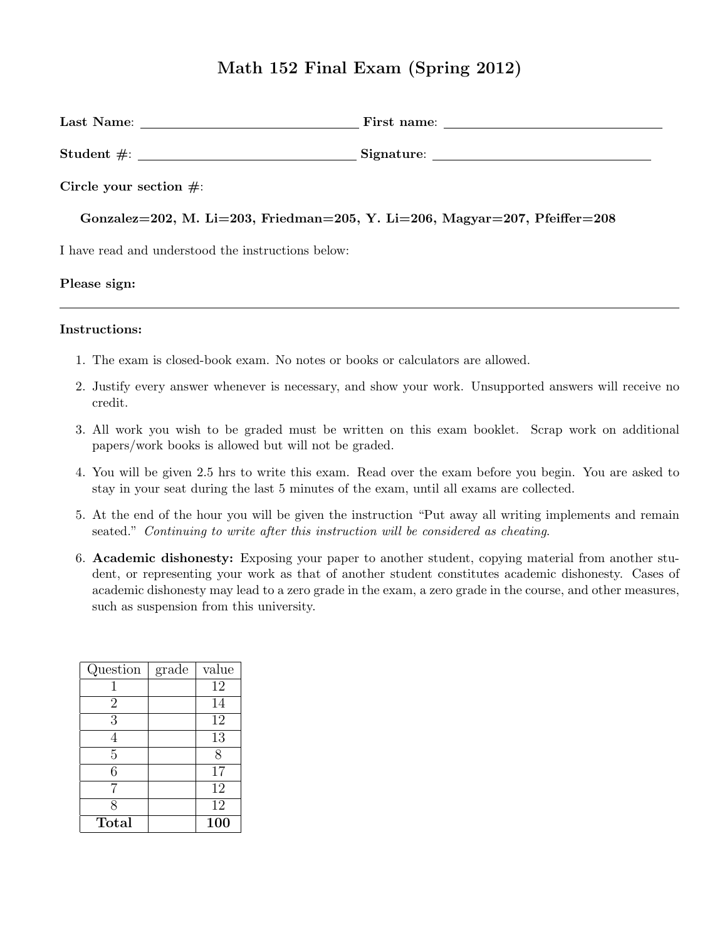# Math 152 Final Exam (Spring 2012)

| Circle your section $\#$ :                                                 |  |  |  |
|----------------------------------------------------------------------------|--|--|--|
| Gonzalez=202, M. Li=203, Friedman=205, Y. Li=206, Magyar=207, Pfeiffer=208 |  |  |  |
| I have read and understood the instructions below:                         |  |  |  |
| Please sign:                                                               |  |  |  |
|                                                                            |  |  |  |

### Instructions:

- 1. The exam is closed-book exam. No notes or books or calculators are allowed.
- 2. Justify every answer whenever is necessary, and show your work. Unsupported answers will receive no credit.
- 3. All work you wish to be graded must be written on this exam booklet. Scrap work on additional papers/work books is allowed but will not be graded.
- 4. You will be given 2.5 hrs to write this exam. Read over the exam before you begin. You are asked to stay in your seat during the last 5 minutes of the exam, until all exams are collected.
- 5. At the end of the hour you will be given the instruction "Put away all writing implements and remain seated." Continuing to write after this instruction will be considered as cheating.
- 6. Academic dishonesty: Exposing your paper to another student, copying material from another student, or representing your work as that of another student constitutes academic dishonesty. Cases of academic dishonesty may lead to a zero grade in the exam, a zero grade in the course, and other measures, such as suspension from this university.

| Question       | grade | value |
|----------------|-------|-------|
| 1              |       | 12    |
| $\overline{2}$ |       | 14    |
| 3              |       | 12    |
| 4              |       | 13    |
| $\overline{5}$ |       | 8     |
| 6              |       | 17    |
|                |       | 12    |
| 8              |       | 12    |
| Total          |       | 100   |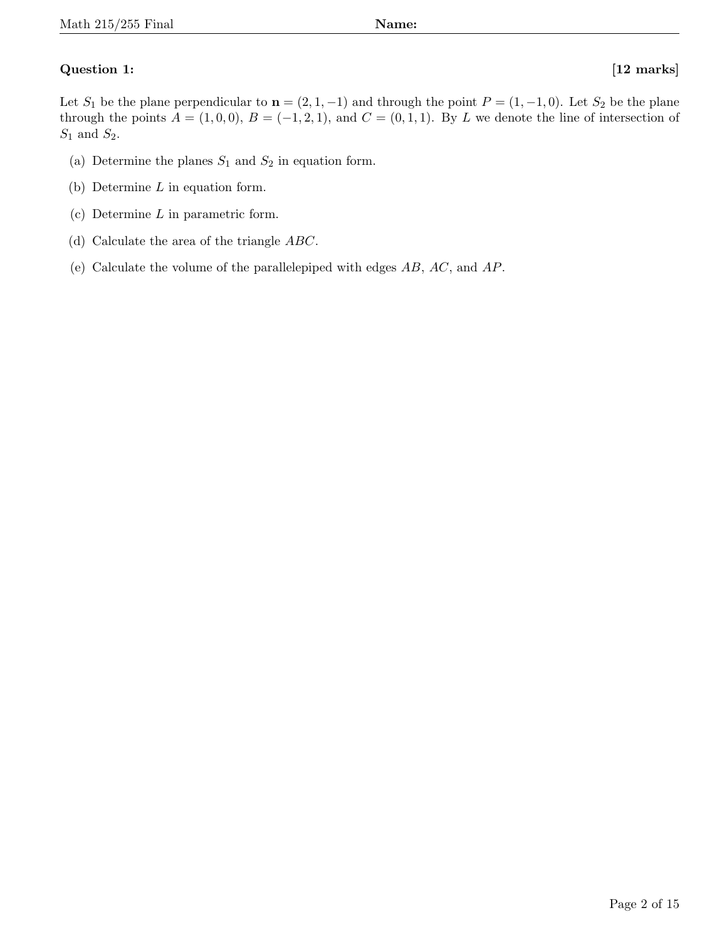# Question 1: [12 marks]

Let  $S_1$  be the plane perpendicular to  $\mathbf{n} = (2, 1, -1)$  and through the point  $P = (1, -1, 0)$ . Let  $S_2$  be the plane through the points  $A = (1, 0, 0), B = (-1, 2, 1),$  and  $C = (0, 1, 1)$ . By L we denote the line of intersection of  $S_1$  and  $S_2$ .

- (a) Determine the planes  $S_1$  and  $S_2$  in equation form.
- (b) Determine L in equation form.
- (c) Determine L in parametric form.
- (d) Calculate the area of the triangle ABC.
- (e) Calculate the volume of the parallelepiped with edges AB, AC, and AP.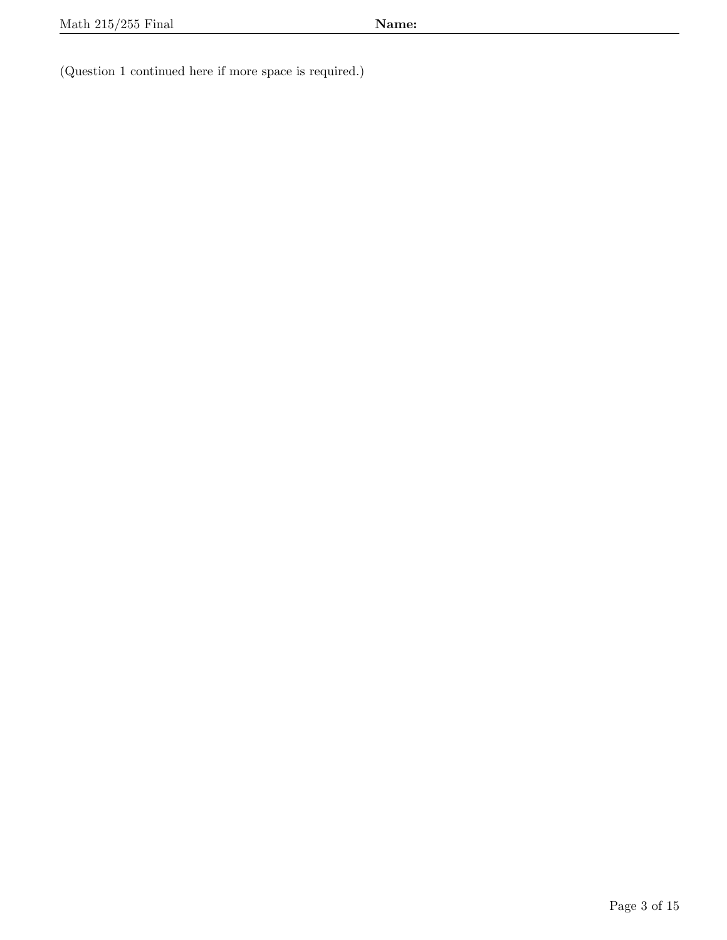(Question 1 continued here if more space is required.)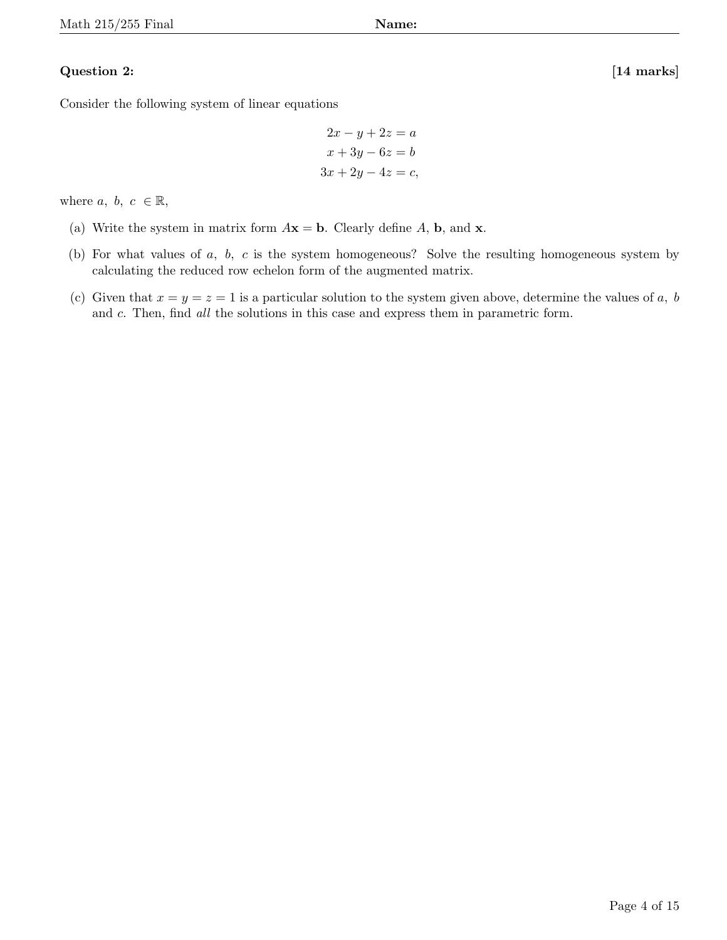### Question 2: [14 marks]

Consider the following system of linear equations

$$
2x - y + 2z = a
$$

$$
x + 3y - 6z = b
$$

$$
3x + 2y - 4z = c,
$$

where  $a, b, c \in \mathbb{R}$ ,

- (a) Write the system in matrix form  $A\mathbf{x} = \mathbf{b}$ . Clearly define A,  $\mathbf{b}$ , and  $\mathbf{x}$ .
- (b) For what values of a, b, c is the system homogeneous? Solve the resulting homogeneous system by calculating the reduced row echelon form of the augmented matrix.
- (c) Given that  $x = y = z = 1$  is a particular solution to the system given above, determine the values of a, b and c. Then, find all the solutions in this case and express them in parametric form.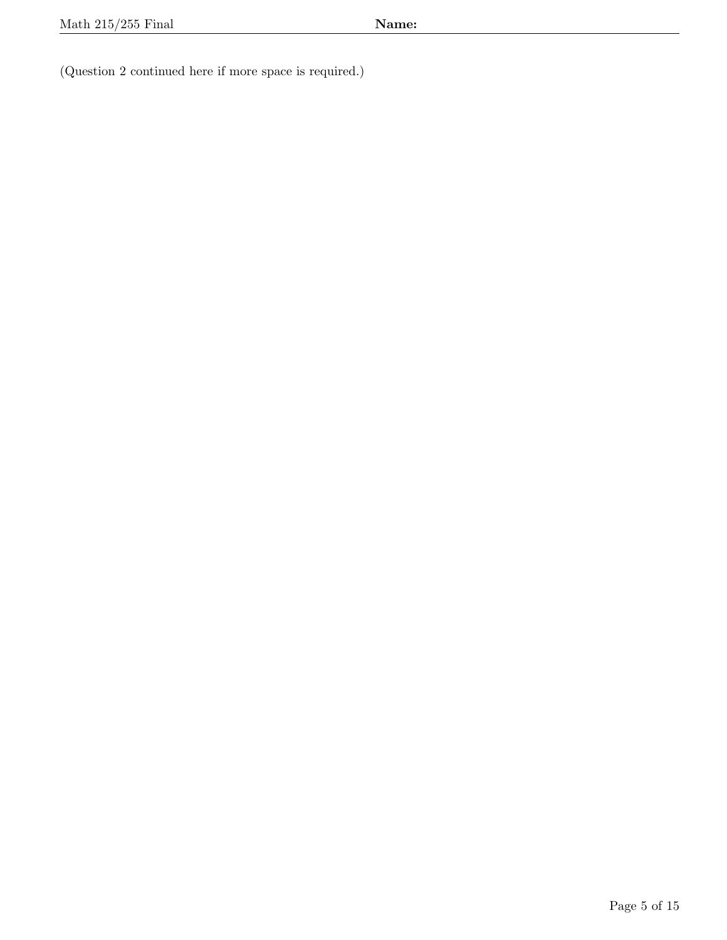(Question 2 continued here if more space is required.)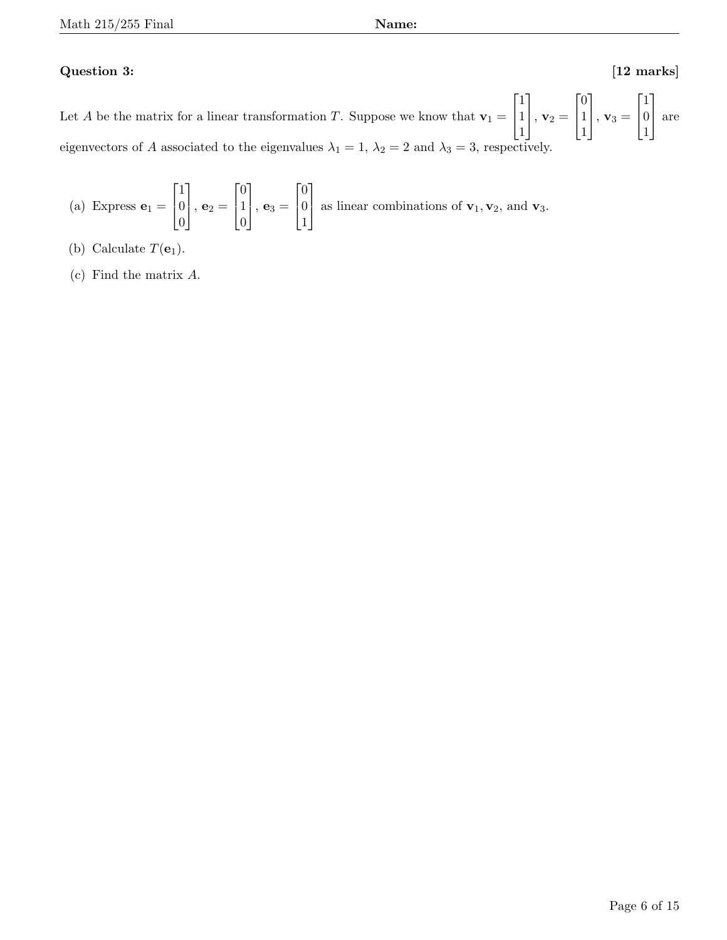## Question 3: [12 marks]

Let A be the matrix for a linear transformation T. Suppose we know that  $\mathbf{v}_1 =$  $\sqrt{ }$  $\overline{1}$ 1 1 1 1  $\Big\vert$ ,  $\mathbf{v}_2 =$  $\sqrt{ }$  $\overline{1}$ 0 1 1 1  $\Big\vert$ ,  $\mathbf{v}_3 =$  $\sqrt{ }$  $\overline{1}$ 1 0 1 1 are eigenvectors of A associated to the eigenvalues  $\lambda_1 = 1, \lambda_2 = 2$  and  $\lambda_3 = 3$ , respectively.

(a) Express 
$$
\mathbf{e}_1 = \begin{bmatrix} 1 \\ 0 \\ 0 \end{bmatrix}
$$
,  $\mathbf{e}_2 = \begin{bmatrix} 0 \\ 1 \\ 0 \end{bmatrix}$ ,  $\mathbf{e}_3 = \begin{bmatrix} 0 \\ 0 \\ 1 \end{bmatrix}$  as linear combinations of  $\mathbf{v}_1, \mathbf{v}_2$ , and  $\mathbf{v}_3$ .

- (b) Calculate  $T(\mathbf{e}_1)$ .
- (c) Find the matrix A.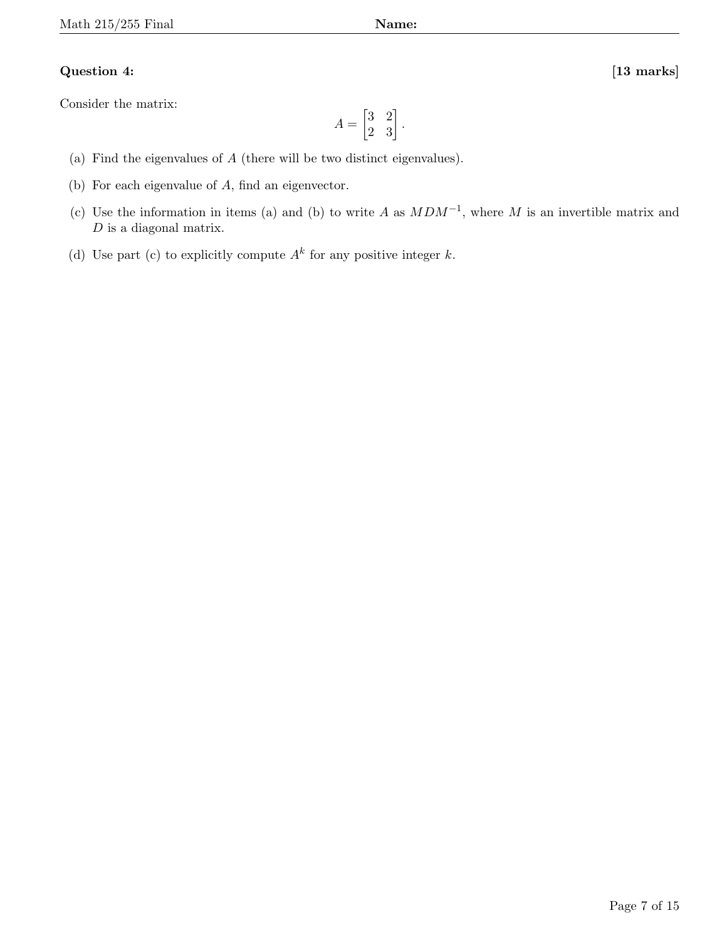## Question 4: [13 marks]

Consider the matrix:

$$
A = \begin{bmatrix} 3 & 2 \\ 2 & 3 \end{bmatrix}.
$$

- (a) Find the eigenvalues of A (there will be two distinct eigenvalues).
- (b) For each eigenvalue of A, find an eigenvector.
- (c) Use the information in items (a) and (b) to write A as  $MDM^{-1}$ , where M is an invertible matrix and  $D$  is a diagonal matrix.
- (d) Use part (c) to explicitly compute  $A^k$  for any positive integer k.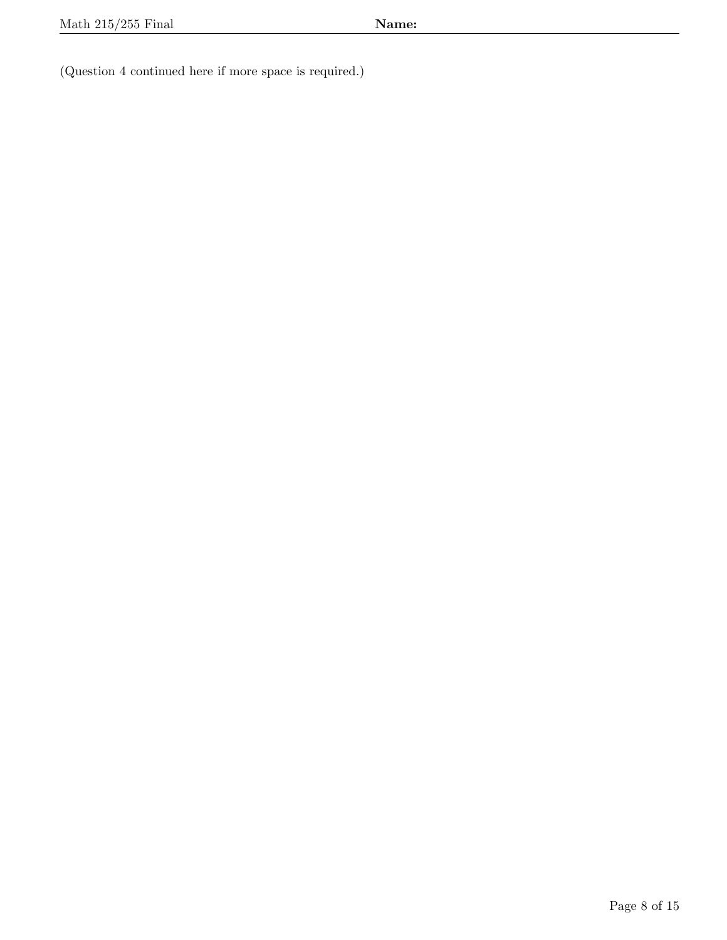(Question 4 continued here if more space is required.)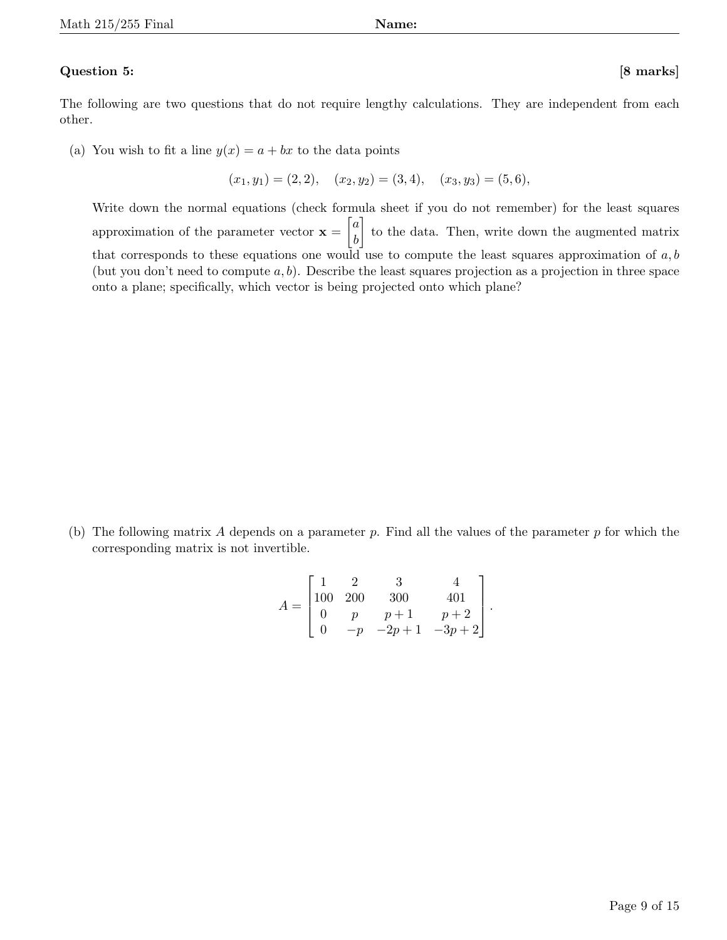### Question 5: [8 marks]

The following are two questions that do not require lengthy calculations. They are independent from each other.

(a) You wish to fit a line  $y(x) = a + bx$  to the data points

$$
(x_1, y_1) = (2, 2), \quad (x_2, y_2) = (3, 4), \quad (x_3, y_3) = (5, 6),
$$

Write down the normal equations (check formula sheet if you do not remember) for the least squares approximation of the parameter vector  $\mathbf{x} = \begin{bmatrix} a \\ b \end{bmatrix}$ b to the data. Then, write down the augmented matrix that corresponds to these equations one would use to compute the least squares approximation of  $a, b$ (but you don't need to compute  $a, b$ ). Describe the least squares projection as a projection in three space onto a plane; specifically, which vector is being projected onto which plane?

(b) The following matrix A depends on a parameter  $p$ . Find all the values of the parameter p for which the corresponding matrix is not invertible.

$$
A = \begin{bmatrix} 1 & 2 & 3 & 4 \\ 100 & 200 & 300 & 401 \\ 0 & p & p+1 & p+2 \\ 0 & -p & -2p+1 & -3p+2 \end{bmatrix}.
$$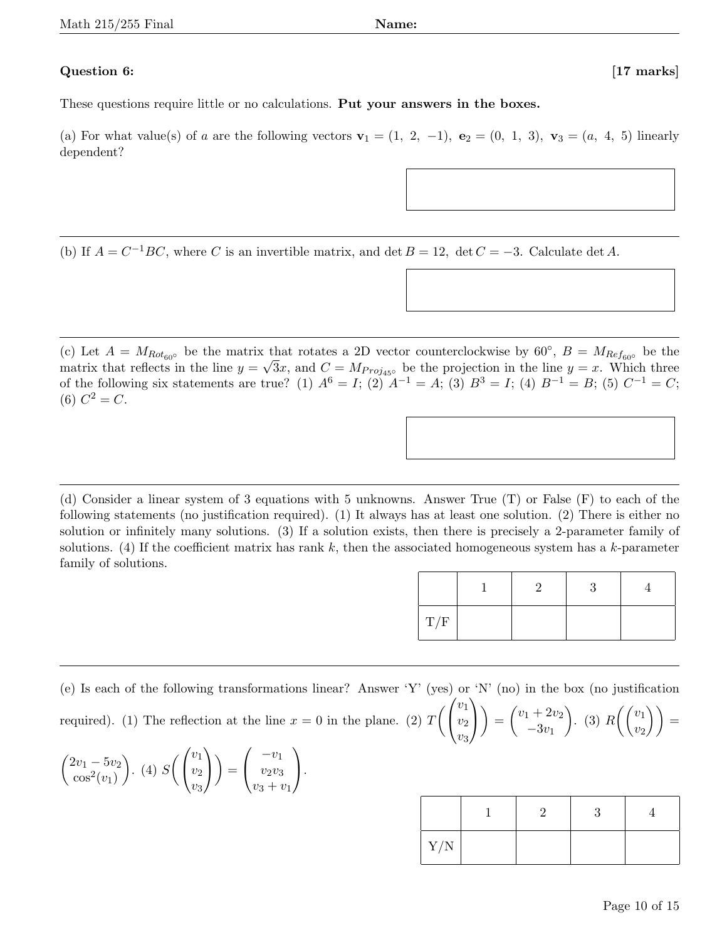### Question 6: [17 marks]

These questions require little or no calculations. Put your answers in the boxes.

(a) For what value(s) of a are the following vectors  $\mathbf{v}_1 = (1, 2, -1)$ ,  $\mathbf{e}_2 = (0, 1, 3)$ ,  $\mathbf{v}_3 = (a, 4, 5)$  linearly dependent?

(b) If  $A = C^{-1}BC$ , where C is an invertible matrix, and det  $B = 12$ , det  $C = -3$ . Calculate det A.

(c) Let  $A = M_{Rot_{60} \circ}$  be the matrix that rotates a 2D vector counterclockwise by 60°,  $B = M_{Ref_{60} \circ}$  be the matrix that reflects in the line  $y = \sqrt{3x}$ , and  $C = M_{Proj_{45} \circ}$  be the projection in the line  $y = x$ . Which three of the following six statements are true? (1)  $A^6 = I$ ; (2)  $A^{-1} = A$ ; (3)  $B^3 = I$ ; (4)  $B^{-1} = B$ ; (5)  $C^{-1} = C$ ; (6)  $C^2 = C$ .

(d) Consider a linear system of 3 equations with 5 unknowns. Answer True (T) or False (F) to each of the following statements (no justification required). (1) It always has at least one solution. (2) There is either no solution or infinitely many solutions. (3) If a solution exists, then there is precisely a 2-parameter family of solutions. (4) If the coefficient matrix has rank k, then the associated homogeneous system has a k-parameter family of solutions.

| T/F |  |  |
|-----|--|--|

(e) Is each of the following transformations linear? Answer 'Y' (yes) or 'N' (no) in the box (no justification required). (1) The reflection at the line  $x = 0$  in the plane. (2)  $T\left(\right)$  $\mathcal{L}$  $v_1$  $v_2$  $v_3$  $\setminus$  $\overline{1}$  $=\begin{pmatrix} v_1 + 2v_2 \\ 2u_1 \end{pmatrix}$  $-3v_1$ ). (3)  $R\left(\begin{array}{c}v_1\end{array}\right)$  $\begin{pmatrix} v_1 \ v_2 \end{pmatrix} \bigg) =$ 

| $\begin{pmatrix} 2v_1 - 5v_2 \\ \cos^2(v_1) \end{pmatrix}$ . (4) $S\left(\begin{pmatrix} v_1 \\ v_2 \\ v_3 \end{pmatrix}\right) = \begin{pmatrix} -v_1 \\ v_2v_3 \\ v_3 + v_1 \end{pmatrix}$ . |  |  |
|------------------------------------------------------------------------------------------------------------------------------------------------------------------------------------------------|--|--|
|------------------------------------------------------------------------------------------------------------------------------------------------------------------------------------------------|--|--|

| Y/N |  |  |
|-----|--|--|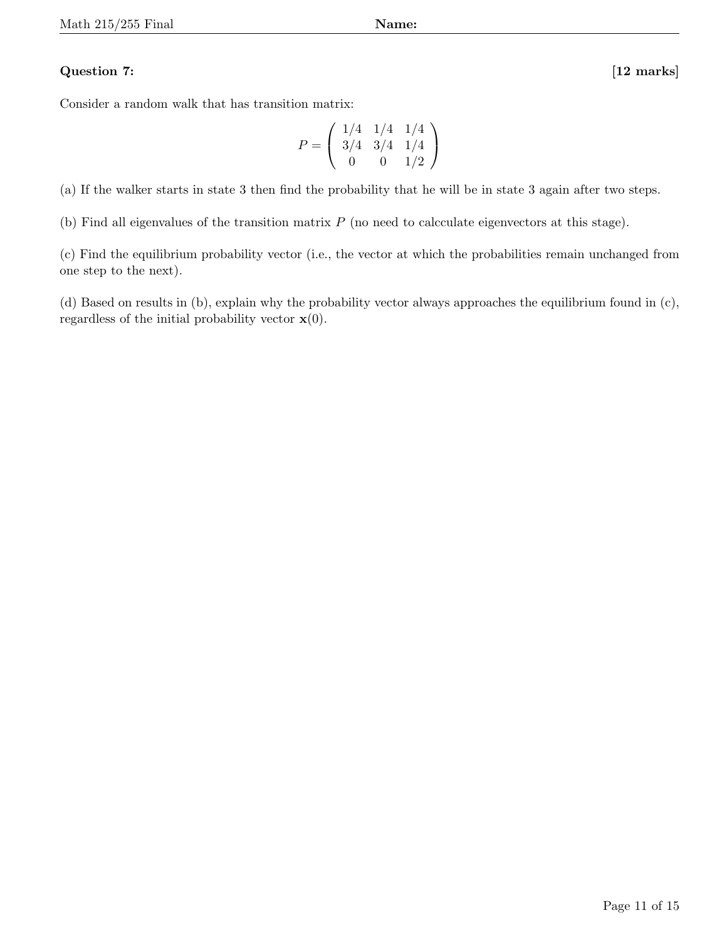## Question 7: [12 marks]

Consider a random walk that has transition matrix:

$$
P = \left(\begin{array}{rrr} 1/4 & 1/4 & 1/4 \\ 3/4 & 3/4 & 1/4 \\ 0 & 0 & 1/2 \end{array}\right)
$$

(a) If the walker starts in state 3 then find the probability that he will be in state 3 again after two steps.

(b) Find all eigenvalues of the transition matrix P (no need to calcculate eigenvectors at this stage).

(c) Find the equilibrium probability vector (i.e., the vector at which the probabilities remain unchanged from one step to the next).

(d) Based on results in (b), explain why the probability vector always approaches the equilibrium found in (c), regardless of the initial probability vector  $\mathbf{x}(0)$ .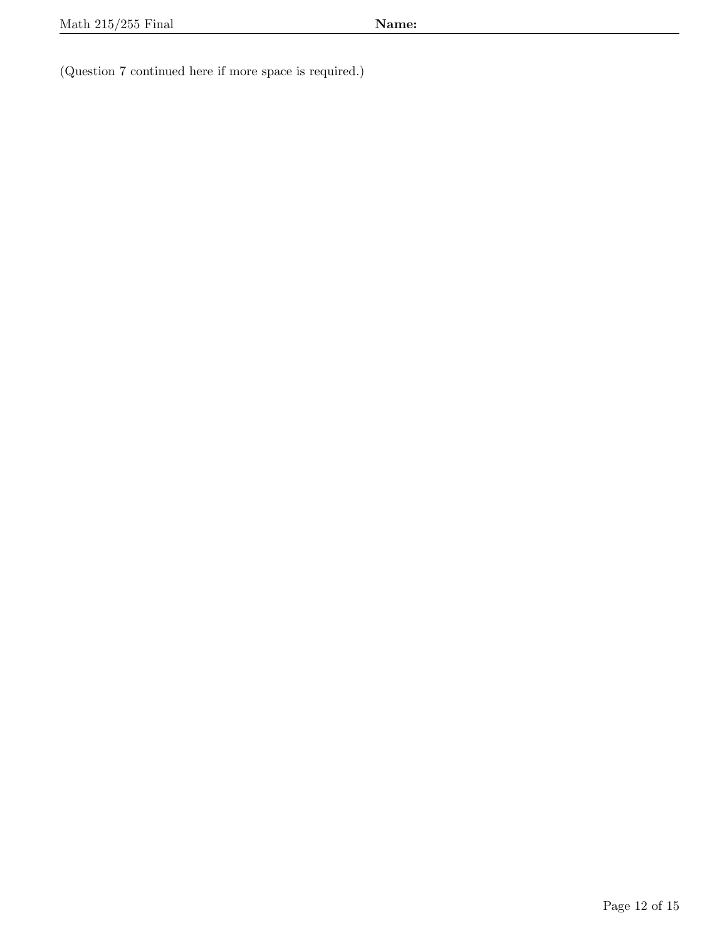(Question 7 continued here if more space is required.)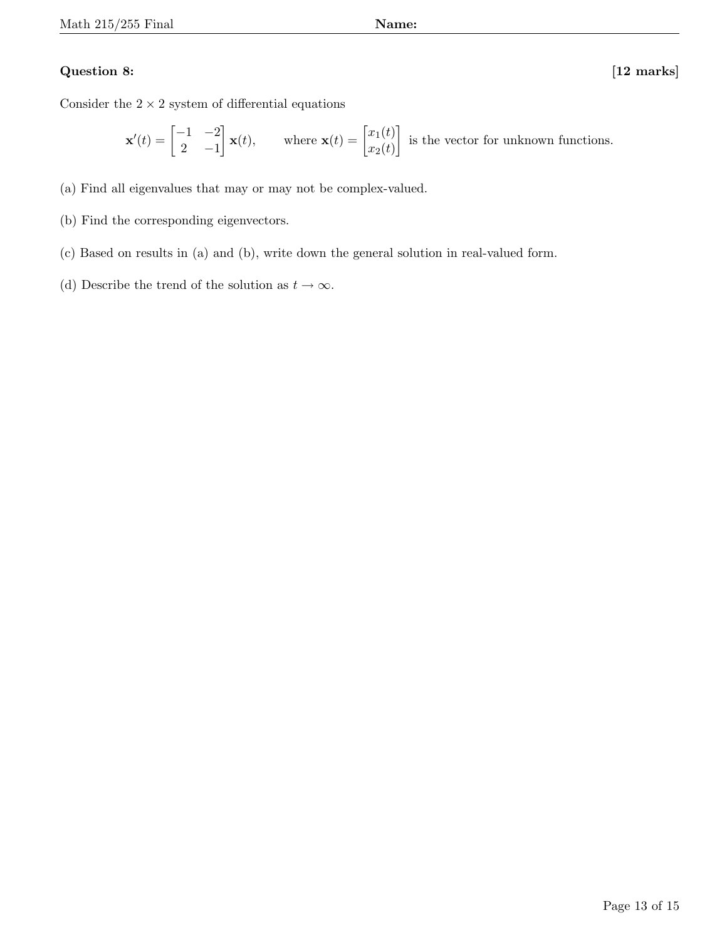## Question 8: [12 marks]

Consider the  $2 \times 2$  system of differential equations

$$
\mathbf{x}'(t) = \begin{bmatrix} -1 & -2 \\ 2 & -1 \end{bmatrix} \mathbf{x}(t), \quad \text{where } \mathbf{x}(t) = \begin{bmatrix} x_1(t) \\ x_2(t) \end{bmatrix} \text{ is the vector for unknown functions.}
$$

- (a) Find all eigenvalues that may or may not be complex-valued.
- (b) Find the corresponding eigenvectors.
- (c) Based on results in (a) and (b), write down the general solution in real-valued form.
- (d) Describe the trend of the solution as  $t \to \infty$ .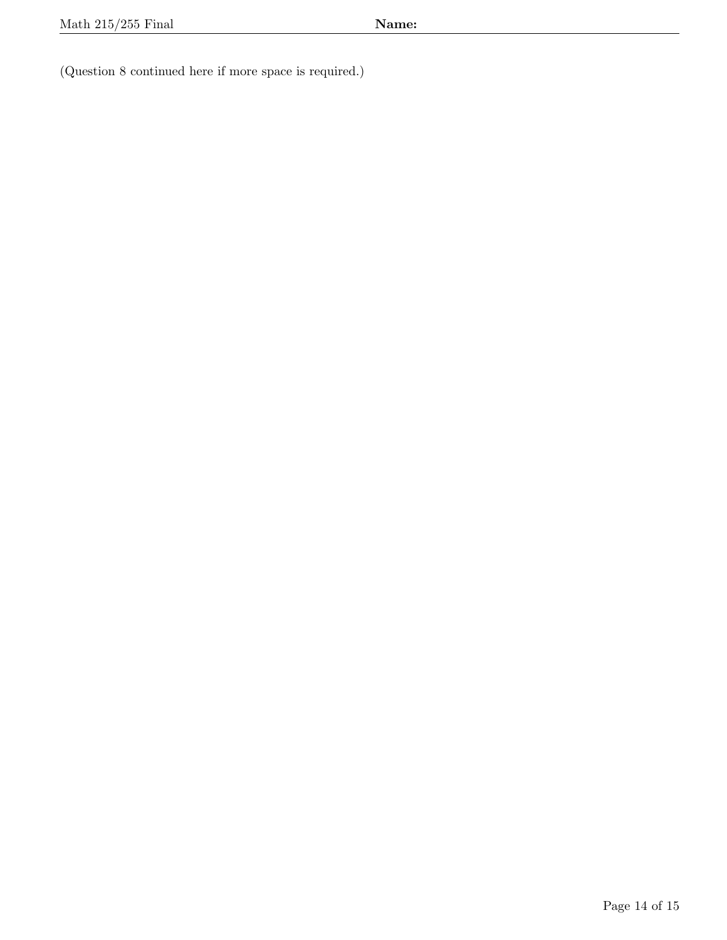(Question 8 continued here if more space is required.)